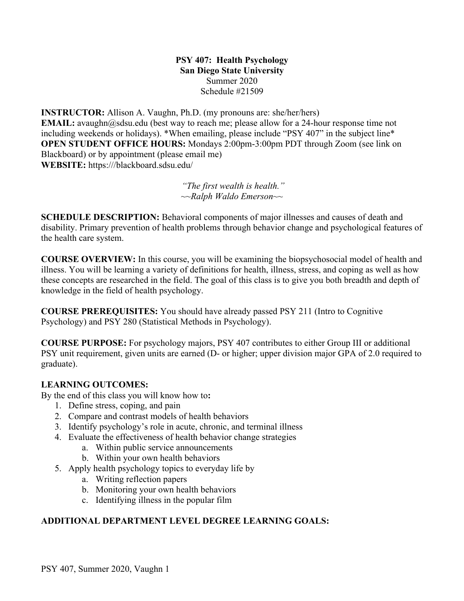#### **PSY 407: Health Psychology San Diego State University** Summer 2020 Schedule #21509

**INSTRUCTOR:** Allison A. Vaughn, Ph.D. (my pronouns are: she/her/hers) **EMAIL:** avaughn@sdsu.edu (best way to reach me; please allow for a 24-hour response time not including weekends or holidays). \*When emailing, please include "PSY 407" in the subject line\* **OPEN STUDENT OFFICE HOURS:** Mondays 2:00pm-3:00pm PDT through Zoom (see link on Blackboard) or by appointment (please email me) **WEBSITE:** https:///blackboard.sdsu.edu/

> *"The first wealth is health." ~~Ralph Waldo Emerson~~*

**SCHEDULE DESCRIPTION:** Behavioral components of major illnesses and causes of death and disability. Primary prevention of health problems through behavior change and psychological features of the health care system.

**COURSE OVERVIEW:** In this course, you will be examining the biopsychosocial model of health and illness. You will be learning a variety of definitions for health, illness, stress, and coping as well as how these concepts are researched in the field. The goal of this class is to give you both breadth and depth of knowledge in the field of health psychology.

**COURSE PREREQUISITES:** You should have already passed PSY 211 (Intro to Cognitive Psychology) and PSY 280 (Statistical Methods in Psychology).

**COURSE PURPOSE:** For psychology majors, PSY 407 contributes to either Group III or additional PSY unit requirement, given units are earned (D- or higher; upper division major GPA of 2.0 required to graduate).

## **LEARNING OUTCOMES:**

By the end of this class you will know how to**:** 

- 1. Define stress, coping, and pain
- 2. Compare and contrast models of health behaviors
- 3. Identify psychology's role in acute, chronic, and terminal illness
- 4. Evaluate the effectiveness of health behavior change strategies
	- a. Within public service announcements
	- b. Within your own health behaviors
- 5. Apply health psychology topics to everyday life by
	- a. Writing reflection papers
	- b. Monitoring your own health behaviors
	- c. Identifying illness in the popular film

# **ADDITIONAL DEPARTMENT LEVEL DEGREE LEARNING GOALS:**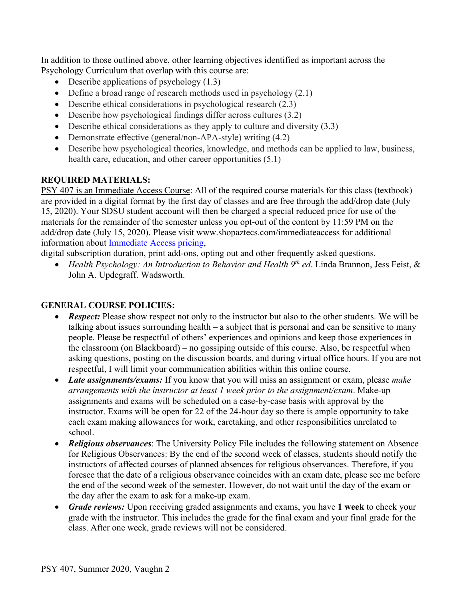In addition to those outlined above, other learning objectives identified as important across the Psychology Curriculum that overlap with this course are:

- Describe applications of psychology  $(1.3)$
- Define a broad range of research methods used in psychology (2.1)
- Describe ethical considerations in psychological research (2.3)
- Describe how psychological findings differ across cultures (3.2)
- Describe ethical considerations as they apply to culture and diversity (3.3)
- Demonstrate effective (general/non-APA-style) writing (4.2)
- Describe how psychological theories, knowledge, and methods can be applied to law, business, health care, education, and other career opportunities  $(5.1)$

#### **REQUIRED MATERIALS:**

PSY 407 is an Immediate Access Course: All of the required course materials for this class (textbook) are provided in a digital format by the first day of classes and are free through the add/drop date (July 15, 2020). Your SDSU student account will then be charged a special reduced price for use of the materials for the remainder of the semester unless you opt-out of the content by 11:59 PM on the add/drop date (July 15, 2020). Please visit www.shopaztecs.com/immediateaccess for additional information about Immediate Access pricing,

digital subscription duration, print add-ons, opting out and other frequently asked questions.

• *Health Psychology: An Introduction to Behavior and Health 9<sup>th</sup> ed. Linda Brannon, Jess Feist, &* John A. Updegraff. Wadsworth.

#### **GENERAL COURSE POLICIES:**

- *Respect:* Please show respect not only to the instructor but also to the other students. We will be talking about issues surrounding health – a subject that is personal and can be sensitive to many people. Please be respectful of others' experiences and opinions and keep those experiences in the classroom (on Blackboard) – no gossiping outside of this course. Also, be respectful when asking questions, posting on the discussion boards, and during virtual office hours. If you are not respectful, I will limit your communication abilities within this online course.
- *Late assignments/exams:* If you know that you will miss an assignment or exam, please *make arrangements with the instructor at least 1 week prior to the assignment/exam*. Make-up assignments and exams will be scheduled on a case-by-case basis with approval by the instructor. Exams will be open for 22 of the 24-hour day so there is ample opportunity to take each exam making allowances for work, caretaking, and other responsibilities unrelated to school.
- *Religious observances*: The University Policy File includes the following statement on Absence for Religious Observances: By the end of the second week of classes, students should notify the instructors of affected courses of planned absences for religious observances. Therefore, if you foresee that the date of a religious observance coincides with an exam date, please see me before the end of the second week of the semester. However, do not wait until the day of the exam or the day after the exam to ask for a make-up exam.
- *Grade reviews:* Upon receiving graded assignments and exams, you have **1 week** to check your grade with the instructor. This includes the grade for the final exam and your final grade for the class. After one week, grade reviews will not be considered.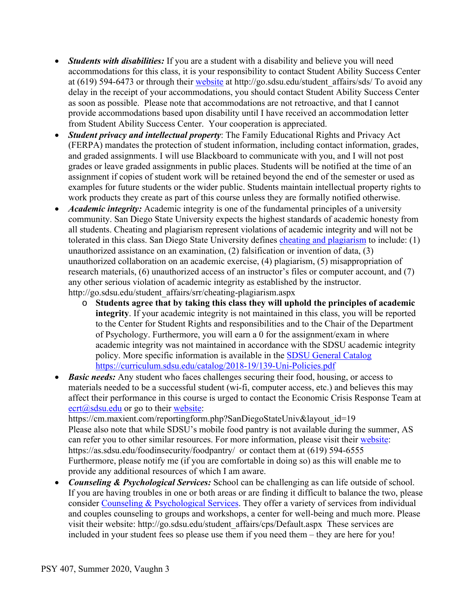- *Students with disabilities:* If you are a student with a disability and believe you will need accommodations for this class, it is your responsibility to contact Student Ability Success Center at (619) 594-6473 or through their website at http://go.sdsu.edu/student\_affairs/sds/ To avoid any delay in the receipt of your accommodations, you should contact Student Ability Success Center as soon as possible. Please note that accommodations are not retroactive, and that I cannot provide accommodations based upon disability until I have received an accommodation letter from Student Ability Success Center. Your cooperation is appreciated.
- *Student privacy and intellectual property*: The Family Educational Rights and Privacy Act (FERPA) mandates the protection of student information, including contact information, grades, and graded assignments. I will use Blackboard to communicate with you, and I will not post grades or leave graded assignments in public places. Students will be notified at the time of an assignment if copies of student work will be retained beyond the end of the semester or used as examples for future students or the wider public. Students maintain intellectual property rights to work products they create as part of this course unless they are formally notified otherwise.
- *Academic integrity:* Academic integrity is one of the fundamental principles of a university community. San Diego State University expects the highest standards of academic honesty from all students. Cheating and plagiarism represent violations of academic integrity and will not be tolerated in this class. San Diego State University defines cheating and plagiarism to include: (1) unauthorized assistance on an examination, (2) falsification or invention of data, (3) unauthorized collaboration on an academic exercise, (4) plagiarism, (5) misappropriation of research materials, (6) unauthorized access of an instructor's files or computer account, and (7) any other serious violation of academic integrity as established by the instructor. http://go.sdsu.edu/student\_affairs/srr/cheating-plagiarism.aspx
	- o **Students agree that by taking this class they will uphold the principles of academic integrity**. If your academic integrity is not maintained in this class, you will be reported to the Center for Student Rights and responsibilities and to the Chair of the Department of Psychology. Furthermore, you will earn a 0 for the assignment/exam in where academic integrity was not maintained in accordance with the SDSU academic integrity policy. More specific information is available in the SDSU General Catalog https://curriculum.sdsu.edu/catalog/2018-19/139-Uni-Policies.pdf
- *Basic needs:* Any student who faces challenges securing their food, housing, or access to materials needed to be a successful student (wi-fi, computer access, etc.) and believes this may affect their performance in this course is urged to contact the Economic Crisis Response Team at  $\text{cert}(a)$ sdsu.edu or go to their website: https://cm.maxient.com/reportingform.php?SanDiegoStateUniv&layout\_id=19

Please also note that while SDSU's mobile food pantry is not available during the summer, AS can refer you to other similar resources. For more information, please visit their website: https://as.sdsu.edu/foodinsecurity/foodpantry/ or contact them at (619) 594-6555 Furthermore, please notify me (if you are comfortable in doing so) as this will enable me to provide any additional resources of which I am aware.

• *Counseling & Psychological Services:* School can be challenging as can life outside of school. If you are having troubles in one or both areas or are finding it difficult to balance the two, please consider Counseling & Psychological Services. They offer a variety of services from individual and couples counseling to groups and workshops, a center for well-being and much more. Please visit their website: http://go.sdsu.edu/student\_affairs/cps/Default.aspx These services are included in your student fees so please use them if you need them – they are here for you!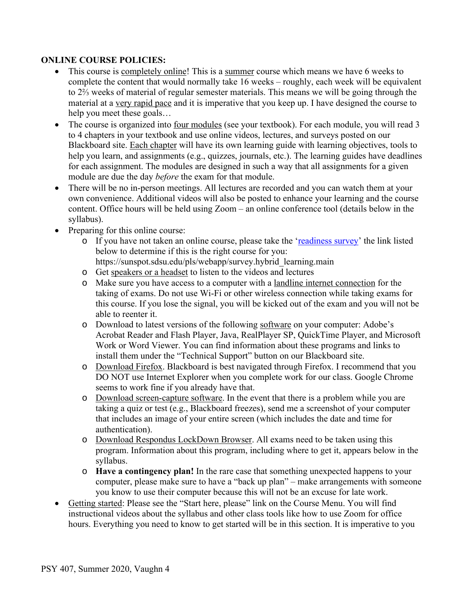#### **ONLINE COURSE POLICIES:**

- This course is completely online! This is a summer course which means we have 6 weeks to complete the content that would normally take 16 weeks – roughly, each week will be equivalent to 2⅔ weeks of material of regular semester materials. This means we will be going through the material at a very rapid pace and it is imperative that you keep up. I have designed the course to help you meet these goals…
- The course is organized into <u>four modules</u> (see your textbook). For each module, you will read 3 to 4 chapters in your textbook and use online videos, lectures, and surveys posted on our Blackboard site. Each chapter will have its own learning guide with learning objectives, tools to help you learn, and assignments (e.g., quizzes, journals, etc.). The learning guides have deadlines for each assignment. The modules are designed in such a way that all assignments for a given module are due the day *before* the exam for that module.
- There will be no in-person meetings. All lectures are recorded and you can watch them at your own convenience. Additional videos will also be posted to enhance your learning and the course content. Office hours will be held using Zoom – an online conference tool (details below in the syllabus).
- Preparing for this online course:
	- o If you have not taken an online course, please take the 'readiness survey' the link listed below to determine if this is the right course for you:
		- https://sunspot.sdsu.edu/pls/webapp/survey.hybrid\_learning.main
	- o Get speakers or a headset to listen to the videos and lectures
	- o Make sure you have access to a computer with a landline internet connection for the taking of exams. Do not use Wi-Fi or other wireless connection while taking exams for this course. If you lose the signal, you will be kicked out of the exam and you will not be able to reenter it.
	- o Download to latest versions of the following software on your computer: Adobe's Acrobat Reader and Flash Player, Java, RealPlayer SP, QuickTime Player, and Microsoft Work or Word Viewer. You can find information about these programs and links to install them under the "Technical Support" button on our Blackboard site.
	- o Download Firefox. Blackboard is best navigated through Firefox. I recommend that you DO NOT use Internet Explorer when you complete work for our class. Google Chrome seems to work fine if you already have that.
	- o Download screen-capture software. In the event that there is a problem while you are taking a quiz or test (e.g., Blackboard freezes), send me a screenshot of your computer that includes an image of your entire screen (which includes the date and time for authentication).
	- o Download Respondus LockDown Browser. All exams need to be taken using this program. Information about this program, including where to get it, appears below in the syllabus.
	- o **Have a contingency plan!** In the rare case that something unexpected happens to your computer, please make sure to have a "back up plan" – make arrangements with someone you know to use their computer because this will not be an excuse for late work.
- Getting started: Please see the "Start here, please" link on the Course Menu. You will find instructional videos about the syllabus and other class tools like how to use Zoom for office hours. Everything you need to know to get started will be in this section. It is imperative to you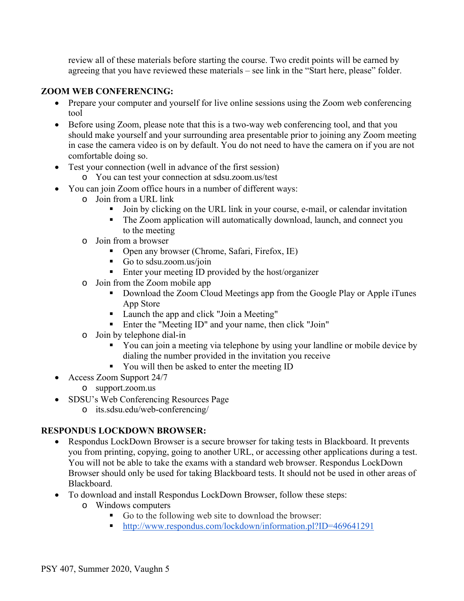review all of these materials before starting the course. Two credit points will be earned by agreeing that you have reviewed these materials – see link in the "Start here, please" folder.

#### **ZOOM WEB CONFERENCING:**

- Prepare your computer and yourself for live online sessions using the Zoom web conferencing tool
- Before using Zoom, please note that this is a two-way web conferencing tool, and that you should make yourself and your surrounding area presentable prior to joining any Zoom meeting in case the camera video is on by default. You do not need to have the camera on if you are not comfortable doing so.
- Test your connection (well in advance of the first session)
	- o You can test your connection at sdsu.zoom.us/test
- You can join Zoom office hours in a number of different ways:
	- o Join from a URL link
		- ! Join by clicking on the URL link in your course, e-mail, or calendar invitation
		- ! The Zoom application will automatically download, launch, and connect you to the meeting
	- o Join from a browser
		- ! Open any browser (Chrome, Safari, Firefox, IE)
		- ! Go to sdsu.zoom.us/join
		- Enter your meeting ID provided by the host/organizer
	- o Join from the Zoom mobile app
		- ! Download the Zoom Cloud Meetings app from the Google Play or Apple iTunes App Store
		- Launch the app and click "Join a Meeting"
		- ! Enter the "Meeting ID" and your name, then click "Join"
	- o Join by telephone dial-in
		- ! You can join a meeting via telephone by using your landline or mobile device by dialing the number provided in the invitation you receive
		- ! You will then be asked to enter the meeting ID
- Access Zoom Support 24/7
	- o support.zoom.us
- SDSU's Web Conferencing Resources Page
	- o its.sdsu.edu/web-conferencing/

## **RESPONDUS LOCKDOWN BROWSER:**

- Respondus LockDown Browser is a secure browser for taking tests in Blackboard. It prevents you from printing, copying, going to another URL, or accessing other applications during a test. You will not be able to take the exams with a standard web browser. Respondus LockDown Browser should only be used for taking Blackboard tests. It should not be used in other areas of Blackboard.
- To download and install Respondus LockDown Browser, follow these steps:
	- o Windows computers
		- ! Go to the following web site to download the browser:
		- ! http://www.respondus.com/lockdown/information.pl?ID=469641291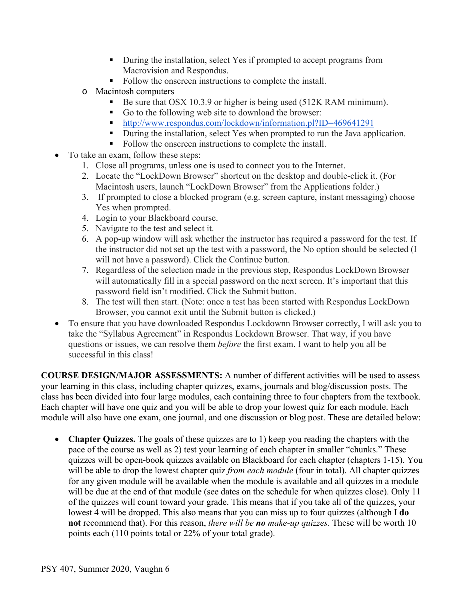- ! During the installation, select Yes if prompted to accept programs from Macrovision and Respondus.
- Follow the onscreen instructions to complete the install.
- o Macintosh computers
	- Be sure that OSX 10.3.9 or higher is being used (512K RAM minimum).
	- ! Go to the following web site to download the browser:
	- ! http://www.respondus.com/lockdown/information.pl?ID=469641291
	- ! During the installation, select Yes when prompted to run the Java application.
	- Follow the onscreen instructions to complete the install.
- To take an exam, follow these steps:
	- 1. Close all programs, unless one is used to connect you to the Internet.
	- 2. Locate the "LockDown Browser" shortcut on the desktop and double-click it. (For Macintosh users, launch "LockDown Browser" from the Applications folder.)
	- 3. If prompted to close a blocked program (e.g. screen capture, instant messaging) choose Yes when prompted.
	- 4. Login to your Blackboard course.
	- 5. Navigate to the test and select it.
	- 6. A pop-up window will ask whether the instructor has required a password for the test. If the instructor did not set up the test with a password, the No option should be selected (I will not have a password). Click the Continue button.
	- 7. Regardless of the selection made in the previous step, Respondus LockDown Browser will automatically fill in a special password on the next screen. It's important that this password field isn't modified. Click the Submit button.
	- 8. The test will then start. (Note: once a test has been started with Respondus LockDown Browser, you cannot exit until the Submit button is clicked.)
- To ensure that you have downloaded Respondus Lockdownn Browser correctly, I will ask you to take the "Syllabus Agreement" in Respondus Lockdown Browser. That way, if you have questions or issues, we can resolve them *before* the first exam. I want to help you all be successful in this class!

**COURSE DESIGN/MAJOR ASSESSMENTS:** A number of different activities will be used to assess your learning in this class, including chapter quizzes, exams, journals and blog/discussion posts. The class has been divided into four large modules, each containing three to four chapters from the textbook. Each chapter will have one quiz and you will be able to drop your lowest quiz for each module. Each module will also have one exam, one journal, and one discussion or blog post. These are detailed below:

• **Chapter Quizzes.** The goals of these quizzes are to 1) keep you reading the chapters with the pace of the course as well as 2) test your learning of each chapter in smaller "chunks." These quizzes will be open-book quizzes available on Blackboard for each chapter (chapters 1-15). You will be able to drop the lowest chapter quiz *from each module* (four in total). All chapter quizzes for any given module will be available when the module is available and all quizzes in a module will be due at the end of that module (see dates on the schedule for when quizzes close). Only 11 of the quizzes will count toward your grade. This means that if you take all of the quizzes, your lowest 4 will be dropped. This also means that you can miss up to four quizzes (although I **do not** recommend that). For this reason, *there will be no make-up quizzes*. These will be worth 10 points each (110 points total or 22% of your total grade).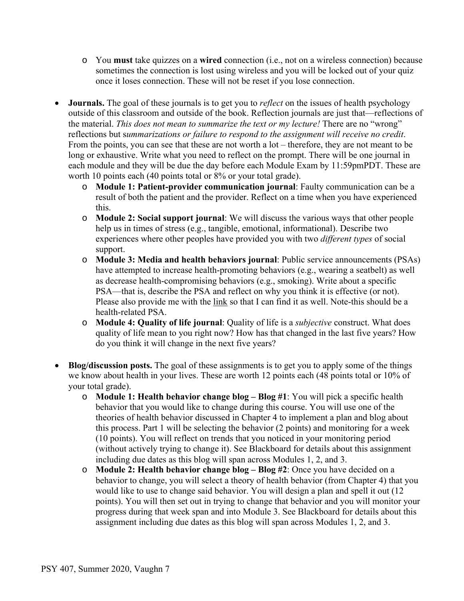- o You **must** take quizzes on a **wired** connection (i.e., not on a wireless connection) because sometimes the connection is lost using wireless and you will be locked out of your quiz once it loses connection. These will not be reset if you lose connection.
- **Journals.** The goal of these journals is to get you to *reflect* on the issues of health psychology outside of this classroom and outside of the book. Reflection journals are just that—reflections of the material. *This does not mean to summarize the text or my lecture!* There are no "wrong" reflections but s*ummarizations or failure to respond to the assignment will receive no credit*. From the points, you can see that these are not worth a lot – therefore, they are not meant to be long or exhaustive. Write what you need to reflect on the prompt. There will be one journal in each module and they will be due the day before each Module Exam by 11:59pmPDT. These are worth 10 points each (40 points total or 8% or your total grade).
	- o **Module 1: Patient-provider communication journal**: Faulty communication can be a result of both the patient and the provider. Reflect on a time when you have experienced this.
	- o **Module 2: Social support journal**: We will discuss the various ways that other people help us in times of stress (e.g., tangible, emotional, informational). Describe two experiences where other peoples have provided you with two *different types* of social support.
	- o **Module 3: Media and health behaviors journal**: Public service announcements (PSAs) have attempted to increase health-promoting behaviors (e.g., wearing a seatbelt) as well as decrease health-compromising behaviors (e.g., smoking). Write about a specific PSA—that is, describe the PSA and reflect on why you think it is effective (or not). Please also provide me with the link so that I can find it as well. Note-this should be a health-related PSA.
	- o **Module 4: Quality of life journal**: Quality of life is a *subjective* construct. What does quality of life mean to you right now? How has that changed in the last five years? How do you think it will change in the next five years?
- **Blog/discussion posts.** The goal of these assignments is to get you to apply some of the things we know about health in your lives. These are worth 12 points each (48 points total or 10% of your total grade).
	- o **Module 1: Health behavior change blog – Blog #1**: You will pick a specific health behavior that you would like to change during this course. You will use one of the theories of health behavior discussed in Chapter 4 to implement a plan and blog about this process. Part 1 will be selecting the behavior (2 points) and monitoring for a week (10 points). You will reflect on trends that you noticed in your monitoring period (without actively trying to change it). See Blackboard for details about this assignment including due dates as this blog will span across Modules 1, 2, and 3.
	- o **Module 2: Health behavior change blog – Blog #2**: Once you have decided on a behavior to change, you will select a theory of health behavior (from Chapter 4) that you would like to use to change said behavior. You will design a plan and spell it out (12 points). You will then set out in trying to change that behavior and you will monitor your progress during that week span and into Module 3. See Blackboard for details about this assignment including due dates as this blog will span across Modules 1, 2, and 3.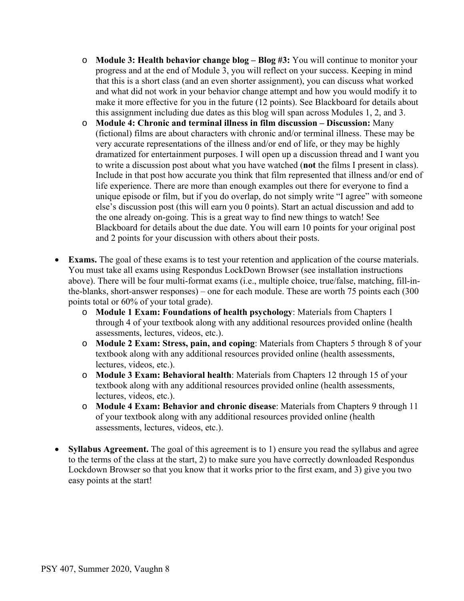- o **Module 3: Health behavior change blog – Blog #3:** You will continue to monitor your progress and at the end of Module 3, you will reflect on your success. Keeping in mind that this is a short class (and an even shorter assignment), you can discuss what worked and what did not work in your behavior change attempt and how you would modify it to make it more effective for you in the future (12 points). See Blackboard for details about this assignment including due dates as this blog will span across Modules 1, 2, and 3.
- o **Module 4: Chronic and terminal illness in film discussion – Discussion:** Many (fictional) films are about characters with chronic and/or terminal illness. These may be very accurate representations of the illness and/or end of life, or they may be highly dramatized for entertainment purposes. I will open up a discussion thread and I want you to write a discussion post about what you have watched (**not** the films I present in class). Include in that post how accurate you think that film represented that illness and/or end of life experience. There are more than enough examples out there for everyone to find a unique episode or film, but if you do overlap, do not simply write "I agree" with someone else's discussion post (this will earn you 0 points). Start an actual discussion and add to the one already on-going. This is a great way to find new things to watch! See Blackboard for details about the due date. You will earn 10 points for your original post and 2 points for your discussion with others about their posts.
- **Exams.** The goal of these exams is to test your retention and application of the course materials. You must take all exams using Respondus LockDown Browser (see installation instructions above). There will be four multi-format exams (i.e., multiple choice, true/false, matching, fill-inthe-blanks, short-answer responses) – one for each module. These are worth 75 points each (300 points total or 60% of your total grade).
	- o **Module 1 Exam: Foundations of health psychology**: Materials from Chapters 1 through 4 of your textbook along with any additional resources provided online (health assessments, lectures, videos, etc.).
	- o **Module 2 Exam: Stress, pain, and coping**: Materials from Chapters 5 through 8 of your textbook along with any additional resources provided online (health assessments, lectures, videos, etc.).
	- o **Module 3 Exam: Behavioral health**: Materials from Chapters 12 through 15 of your textbook along with any additional resources provided online (health assessments, lectures, videos, etc.).
	- o **Module 4 Exam: Behavior and chronic disease**: Materials from Chapters 9 through 11 of your textbook along with any additional resources provided online (health assessments, lectures, videos, etc.).
- **Syllabus Agreement.** The goal of this agreement is to 1) ensure you read the syllabus and agree to the terms of the class at the start, 2) to make sure you have correctly downloaded Respondus Lockdown Browser so that you know that it works prior to the first exam, and 3) give you two easy points at the start!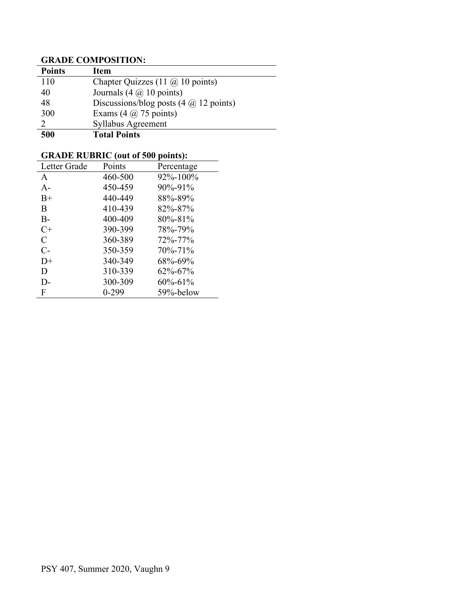# **GRADE COMPOSITION:**

| <b>Points</b> | Item                                                       |
|---------------|------------------------------------------------------------|
| 110           | Chapter Quizzes (11 $\omega$ 10 points)                    |
| 40            | Journals $(4 \omega 10 \text{ points})$                    |
| 48            | Discussions/blog posts $(4 \text{ (}a) 12 \text{ points})$ |
| 300           | Exams $(4 \omega 75 \text{ points})$                       |
|               | Syllabus Agreement                                         |
| 500           | <b>Total Points</b>                                        |

# **GRADE RUBRIC (out of 500 points):**

| 92%-100%<br>460-500<br>A          |  |
|-----------------------------------|--|
| 450-459<br>$90\% - 91\%$<br>$A-$  |  |
| 88%-89%<br>440-449<br>$B+$        |  |
| 410-439<br>B<br>82%-87%           |  |
| 400-409<br>$B -$<br>$80\% - 81\%$ |  |
| 390-399<br>$C+$<br>78%-79%        |  |
| C<br>360-389<br>72%-77%           |  |
| $C-$<br>350-359<br>$70\% - 71\%$  |  |
| 68%-69%<br>340-349<br>$D+$        |  |
| 310-339<br>D<br>$62\% - 67\%$     |  |
| 300-309<br>$60\% - 61\%$<br>D-    |  |
| 59%-below<br>F<br>$0 - 299$       |  |